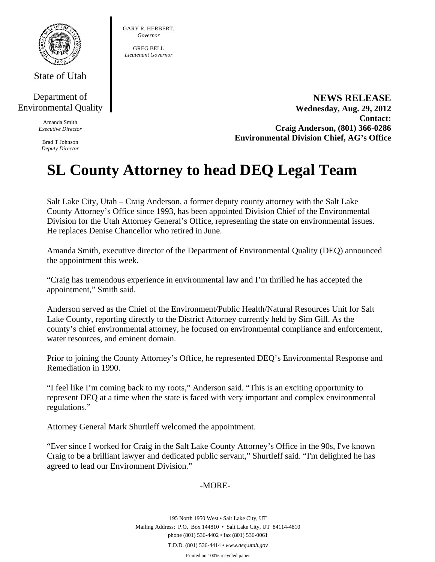

State of Utah

## Department of Environmental Quality

Amanda Smith *Executive Director* 

Brad T Johnson *Deputy Director*  GARY R. HERBERT. *Governor* 

GREG BELL *Lieutenant Governor* 

> **NEWS RELEASE Wednesday, Aug. 29, 2012 Contact: Craig Anderson, (801) 366-0286 Environmental Division Chief, AG's Office**

## **SL County Attorney to head DEQ Legal Team**

Salt Lake City, Utah – Craig Anderson, a former deputy county attorney with the Salt Lake County Attorney's Office since 1993, has been appointed Division Chief of the Environmental Division for the Utah Attorney General's Office, representing the state on environmental issues. He replaces Denise Chancellor who retired in June.

Amanda Smith, executive director of the Department of Environmental Quality (DEQ) announced the appointment this week.

"Craig has tremendous experience in environmental law and I'm thrilled he has accepted the appointment," Smith said.

Anderson served as the Chief of the Environment/Public Health/Natural Resources Unit for Salt Lake County, reporting directly to the District Attorney currently held by Sim Gill. As the county's chief environmental attorney, he focused on environmental compliance and enforcement, water resources, and eminent domain.

Prior to joining the County Attorney's Office, he represented DEQ's Environmental Response and Remediation in 1990.

"I feel like I'm coming back to my roots," Anderson said. "This is an exciting opportunity to represent DEQ at a time when the state is faced with very important and complex environmental regulations."

Attorney General Mark Shurtleff welcomed the appointment.

"Ever since I worked for Craig in the Salt Lake County Attorney's Office in the 90s, I've known Craig to be a brilliant lawyer and dedicated public servant," Shurtleff said. "I'm delighted he has agreed to lead our Environment Division."

## -MORE-

195 North 1950 West • Salt Lake City, UT Mailing Address: P.O. Box 144810 • Salt Lake City, UT 84114-4810 phone (801) 536-4402 • fax (801) 536-0061 T.D.D. (801) 536-4414 • *www.deq.utah.gov* 

Printed on 100% recycled paper